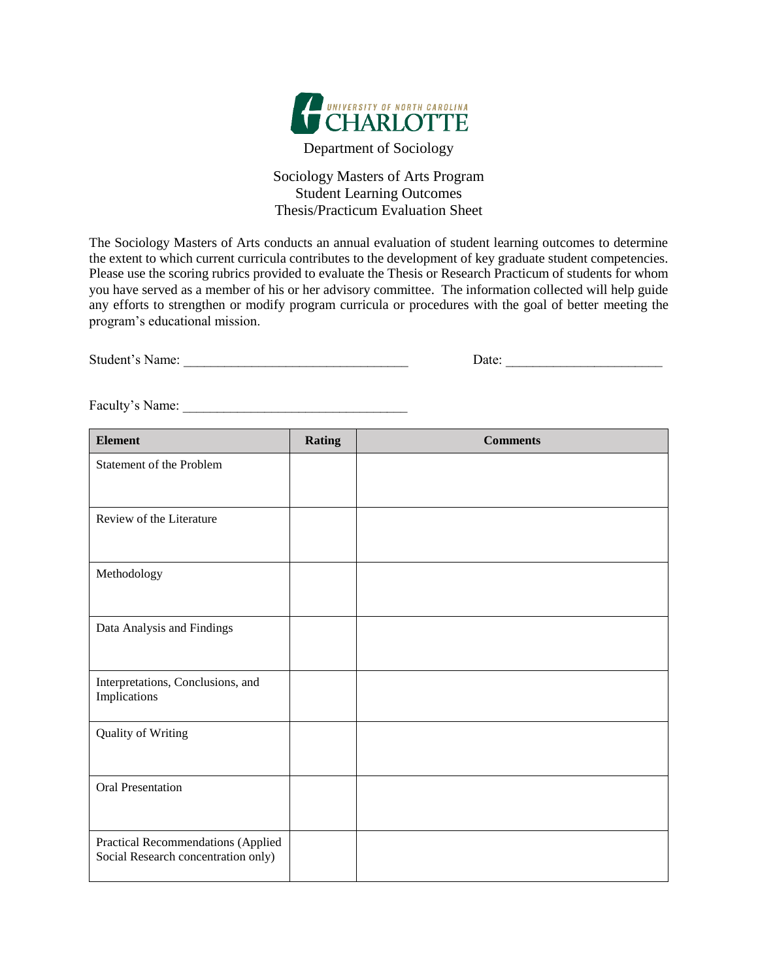

Department of Sociology

## Sociology Masters of Arts Program Student Learning Outcomes Thesis/Practicum Evaluation Sheet

The Sociology Masters of Arts conducts an annual evaluation of student learning outcomes to determine the extent to which current curricula contributes to the development of key graduate student competencies. Please use the scoring rubrics provided to evaluate the Thesis or Research Practicum of students for whom you have served as a member of his or her advisory committee. The information collected will help guide any efforts to strengthen or modify program curricula or procedures with the goal of better meeting the program's educational mission.

| Student's Name: | Jate |
|-----------------|------|
|-----------------|------|

Faculty's Name: \_\_\_\_\_\_\_\_\_\_\_\_\_\_\_\_\_\_\_\_\_\_\_\_\_\_\_\_\_\_\_\_\_

| <b>Element</b>                                                            | <b>Rating</b> | <b>Comments</b> |
|---------------------------------------------------------------------------|---------------|-----------------|
| Statement of the Problem                                                  |               |                 |
|                                                                           |               |                 |
| Review of the Literature                                                  |               |                 |
|                                                                           |               |                 |
| Methodology                                                               |               |                 |
|                                                                           |               |                 |
| Data Analysis and Findings                                                |               |                 |
|                                                                           |               |                 |
| Interpretations, Conclusions, and<br>Implications                         |               |                 |
|                                                                           |               |                 |
| Quality of Writing                                                        |               |                 |
|                                                                           |               |                 |
| Oral Presentation                                                         |               |                 |
|                                                                           |               |                 |
| Practical Recommendations (Applied<br>Social Research concentration only) |               |                 |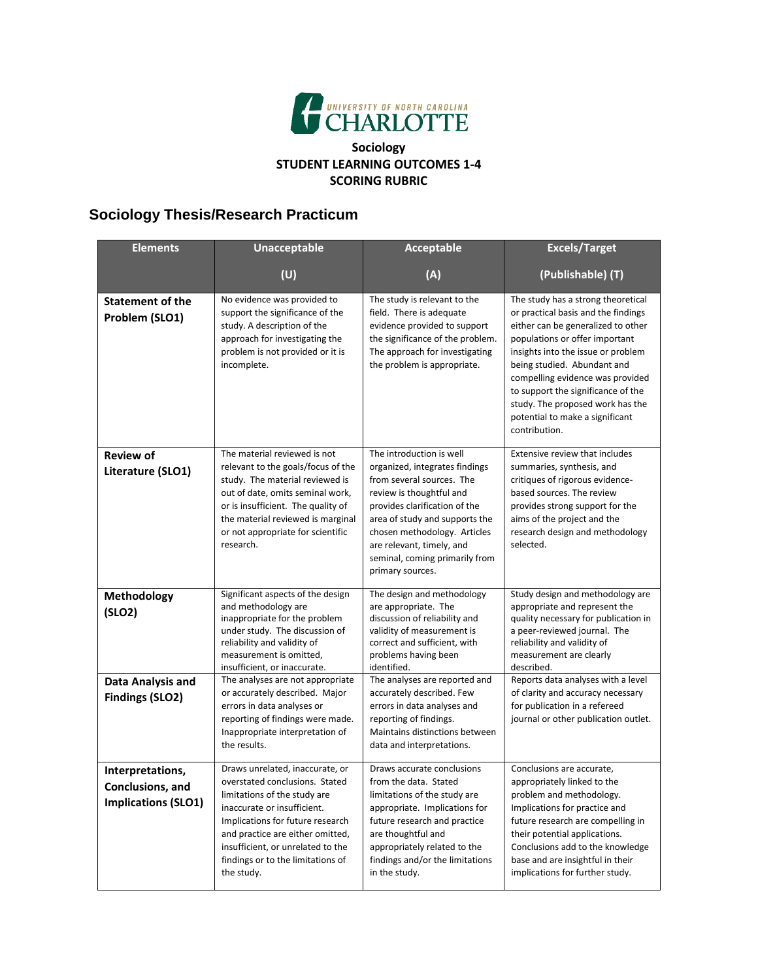

## **Sociology STUDENT LEARNING OUTCOMES 1-4 SCORING RUBRIC**

## **Sociology Thesis/Research Practicum**

| <b>Elements</b>                                                    | <b>Unacceptable</b>                                                                                                                                                                                                                                                                              | Acceptable                                                                                                                                                                                                                                                                                                | <b>Excels/Target</b>                                                                                                                                                                                                                                                                                                                                                                     |
|--------------------------------------------------------------------|--------------------------------------------------------------------------------------------------------------------------------------------------------------------------------------------------------------------------------------------------------------------------------------------------|-----------------------------------------------------------------------------------------------------------------------------------------------------------------------------------------------------------------------------------------------------------------------------------------------------------|------------------------------------------------------------------------------------------------------------------------------------------------------------------------------------------------------------------------------------------------------------------------------------------------------------------------------------------------------------------------------------------|
|                                                                    | (U)                                                                                                                                                                                                                                                                                              | (A)                                                                                                                                                                                                                                                                                                       | (Publishable) (T)                                                                                                                                                                                                                                                                                                                                                                        |
| <b>Statement of the</b><br>Problem (SLO1)                          | No evidence was provided to<br>support the significance of the<br>study. A description of the<br>approach for investigating the<br>problem is not provided or it is<br>incomplete.                                                                                                               | The study is relevant to the<br>field. There is adequate<br>evidence provided to support<br>the significance of the problem.<br>The approach for investigating<br>the problem is appropriate.                                                                                                             | The study has a strong theoretical<br>or practical basis and the findings<br>either can be generalized to other<br>populations or offer important<br>insights into the issue or problem<br>being studied. Abundant and<br>compelling evidence was provided<br>to support the significance of the<br>study. The proposed work has the<br>potential to make a significant<br>contribution. |
| <b>Review of</b><br>Literature (SLO1)                              | The material reviewed is not<br>relevant to the goals/focus of the<br>study. The material reviewed is<br>out of date, omits seminal work,<br>or is insufficient. The quality of<br>the material reviewed is marginal<br>or not appropriate for scientific<br>research.                           | The introduction is well<br>organized, integrates findings<br>from several sources. The<br>review is thoughtful and<br>provides clarification of the<br>area of study and supports the<br>chosen methodology. Articles<br>are relevant, timely, and<br>seminal, coming primarily from<br>primary sources. | Extensive review that includes<br>summaries, synthesis, and<br>critiques of rigorous evidence-<br>based sources. The review<br>provides strong support for the<br>aims of the project and the<br>research design and methodology<br>selected.                                                                                                                                            |
| Methodology<br>(SLO2)                                              | Significant aspects of the design<br>and methodology are<br>inappropriate for the problem<br>under study. The discussion of<br>reliability and validity of<br>measurement is omitted,<br>insufficient, or inaccurate.                                                                            | The design and methodology<br>are appropriate. The<br>discussion of reliability and<br>validity of measurement is<br>correct and sufficient, with<br>problems having been<br>identified.                                                                                                                  | Study design and methodology are<br>appropriate and represent the<br>quality necessary for publication in<br>a peer-reviewed journal. The<br>reliability and validity of<br>measurement are clearly<br>described.                                                                                                                                                                        |
| Data Analysis and<br><b>Findings (SLO2)</b>                        | The analyses are not appropriate<br>or accurately described. Major<br>errors in data analyses or<br>reporting of findings were made.<br>Inappropriate interpretation of<br>the results.                                                                                                          | The analyses are reported and<br>accurately described. Few<br>errors in data analyses and<br>reporting of findings.<br>Maintains distinctions between<br>data and interpretations.                                                                                                                        | Reports data analyses with a level<br>of clarity and accuracy necessary<br>for publication in a refereed<br>journal or other publication outlet.                                                                                                                                                                                                                                         |
| Interpretations,<br>Conclusions, and<br><b>Implications (SLO1)</b> | Draws unrelated, inaccurate, or<br>overstated conclusions. Stated<br>limitations of the study are<br>inaccurate or insufficient.<br>Implications for future research<br>and practice are either omitted,<br>insufficient, or unrelated to the<br>findings or to the limitations of<br>the study. | Draws accurate conclusions<br>from the data. Stated<br>limitations of the study are<br>appropriate. Implications for<br>future research and practice<br>are thoughtful and<br>appropriately related to the<br>findings and/or the limitations<br>in the study.                                            | Conclusions are accurate,<br>appropriately linked to the<br>problem and methodology.<br>Implications for practice and<br>future research are compelling in<br>their potential applications.<br>Conclusions add to the knowledge<br>base and are insightful in their<br>implications for further study.                                                                                   |